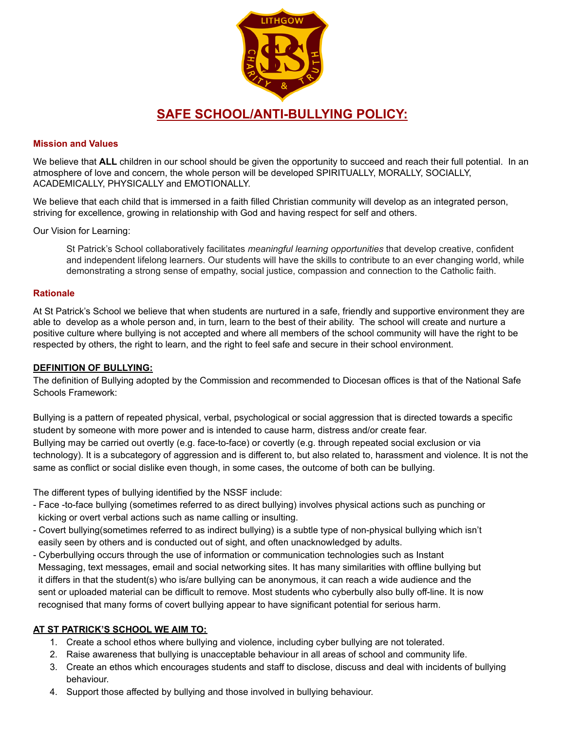

#### **Mission and Values**

We believe that **ALL** children in our school should be given the opportunity to succeed and reach their full potential. In an atmosphere of love and concern, the whole person will be developed SPIRITUALLY, MORALLY, SOCIALLY, ACADEMICALLY, PHYSICALLY and EMOTIONALLY.

We believe that each child that is immersed in a faith filled Christian community will develop as an integrated person, striving for excellence, growing in relationship with God and having respect for self and others.

Our Vision for Learning:

St Patrick's School collaboratively facilitates *meaningful learning opportunities* that develop creative, confident and independent lifelong learners. Our students will have the skills to contribute to an ever changing world, while demonstrating a strong sense of empathy, social justice, compassion and connection to the Catholic faith.

#### **Rationale**

At St Patrick's School we believe that when students are nurtured in a safe, friendly and supportive environment they are able to develop as a whole person and, in turn, learn to the best of their ability. The school will create and nurture a positive culture where bullying is not accepted and where all members of the school community will have the right to be respected by others, the right to learn, and the right to feel safe and secure in their school environment.

#### **DEFINITION OF BULLYING:**

The definition of Bullying adopted by the Commission and recommended to Diocesan offices is that of the National Safe Schools Framework:

Bullying is a pattern of repeated physical, verbal, psychological or social aggression that is directed towards a specific student by someone with more power and is intended to cause harm, distress and/or create fear. Bullying may be carried out overtly (e.g. face-to-face) or covertly (e.g. through repeated social exclusion or via technology). It is a subcategory of aggression and is different to, but also related to, harassment and violence. It is not the same as conflict or social dislike even though, in some cases, the outcome of both can be bullying.

The different types of bullying identified by the NSSF include:

- Face -to-face bullying (sometimes referred to as direct bullying) involves physical actions such as punching or kicking or overt verbal actions such as name calling or insulting.
- Covert bullying(sometimes referred to as indirect bullying) is a subtle type of non-physical bullying which isn't easily seen by others and is conducted out of sight, and often unacknowledged by adults.
- Cyberbullying occurs through the use of information or communication technologies such as Instant Messaging, text messages, email and social networking sites. It has many similarities with offline bullying but it differs in that the student(s) who is/are bullying can be anonymous, it can reach a wide audience and the sent or uploaded material can be difficult to remove. Most students who cyberbully also bully off-line. It is now recognised that many forms of covert bullying appear to have significant potential for serious harm.

## **AT ST PATRICK'S SCHOOL WE AIM TO:**

- 1. Create a school ethos where bullying and violence, including cyber bullying are not tolerated.
- 2. Raise awareness that bullying is unacceptable behaviour in all areas of school and community life.
- 3. Create an ethos which encourages students and staff to disclose, discuss and deal with incidents of bullying behaviour.
- 4. Support those affected by bullying and those involved in bullying behaviour.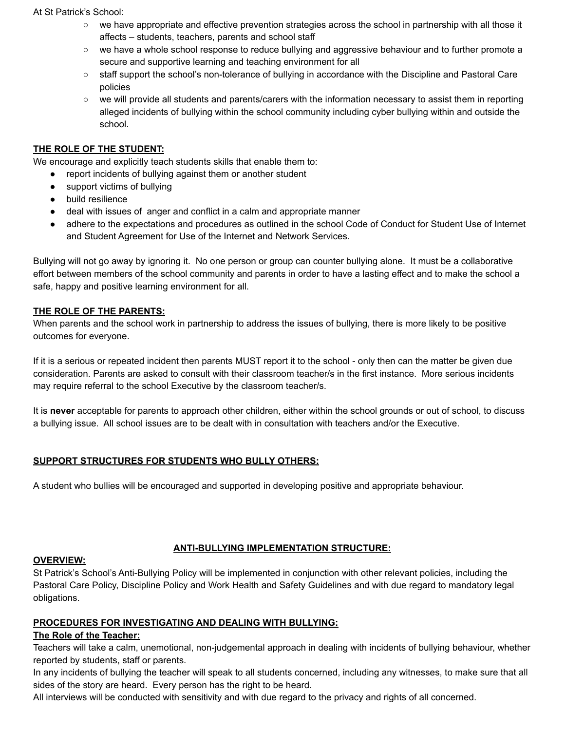#### At St Patrick's School:

- we have appropriate and effective prevention strategies across the school in partnership with all those it affects – students, teachers, parents and school staff
- we have a whole school response to reduce bullying and aggressive behaviour and to further promote a secure and supportive learning and teaching environment for all
- staff support the school's non-tolerance of bullying in accordance with the Discipline and Pastoral Care policies
- we will provide all students and parents/carers with the information necessary to assist them in reporting alleged incidents of bullying within the school community including cyber bullying within and outside the school.

## **THE ROLE OF THE STUDENT:**

We encourage and explicitly teach students skills that enable them to:

- report incidents of bullying against them or another student
- support victims of bullying
- build resilience
- deal with issues of anger and conflict in a calm and appropriate manner
- adhere to the expectations and procedures as outlined in the school Code of Conduct for Student Use of Internet and Student Agreement for Use of the Internet and Network Services.

Bullying will not go away by ignoring it. No one person or group can counter bullying alone. It must be a collaborative effort between members of the school community and parents in order to have a lasting effect and to make the school a safe, happy and positive learning environment for all.

#### **THE ROLE OF THE PARENTS:**

When parents and the school work in partnership to address the issues of bullying, there is more likely to be positive outcomes for everyone.

If it is a serious or repeated incident then parents MUST report it to the school - only then can the matter be given due consideration. Parents are asked to consult with their classroom teacher/s in the first instance. More serious incidents may require referral to the school Executive by the classroom teacher/s.

It is **never** acceptable for parents to approach other children, either within the school grounds or out of school, to discuss a bullying issue. All school issues are to be dealt with in consultation with teachers and/or the Executive.

## **SUPPORT STRUCTURES FOR STUDENTS WHO BULLY OTHERS:**

A student who bullies will be encouraged and supported in developing positive and appropriate behaviour.

## **ANTI-BULLYING IMPLEMENTATION STRUCTURE:**

#### **OVERVIEW:**

St Patrick's School's Anti-Bullying Policy will be implemented in conjunction with other relevant policies, including the Pastoral Care Policy, Discipline Policy and Work Health and Safety Guidelines and with due regard to mandatory legal obligations.

#### **PROCEDURES FOR INVESTIGATING AND DEALING WITH BULLYING:**

## **The Role of the Teacher:**

Teachers will take a calm, unemotional, non-judgemental approach in dealing with incidents of bullying behaviour, whether reported by students, staff or parents.

In any incidents of bullying the teacher will speak to all students concerned, including any witnesses, to make sure that all sides of the story are heard. Every person has the right to be heard.

All interviews will be conducted with sensitivity and with due regard to the privacy and rights of all concerned.